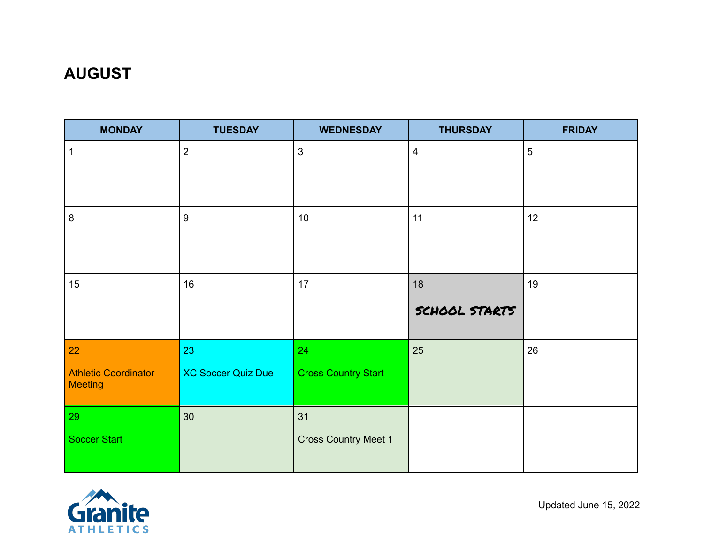# **AUGUST**

| <b>MONDAY</b>               | <b>TUESDAY</b>            | <b>WEDNESDAY</b>            | <b>THURSDAY</b> | <b>FRIDAY</b>  |
|-----------------------------|---------------------------|-----------------------------|-----------------|----------------|
| 1                           | $\overline{2}$            | $\mathbf{3}$                | $\overline{4}$  | $\overline{5}$ |
|                             |                           |                             |                 |                |
|                             |                           |                             |                 |                |
| $\bf 8$                     | $\boldsymbol{9}$          | 10                          | 11              | 12             |
|                             |                           |                             |                 |                |
|                             |                           |                             |                 |                |
| 15                          | 16                        | 17                          | 18              | 19             |
|                             |                           |                             | SCHOOL STARTS   |                |
|                             |                           |                             |                 |                |
| 22                          | 23                        | 24                          | 25              | 26             |
| <b>Athletic Coordinator</b> | <b>XC Soccer Quiz Due</b> | <b>Cross Country Start</b>  |                 |                |
| <b>Meeting</b>              |                           |                             |                 |                |
| 29                          | 30                        | 31                          |                 |                |
| <b>Soccer Start</b>         |                           | <b>Cross Country Meet 1</b> |                 |                |
|                             |                           |                             |                 |                |

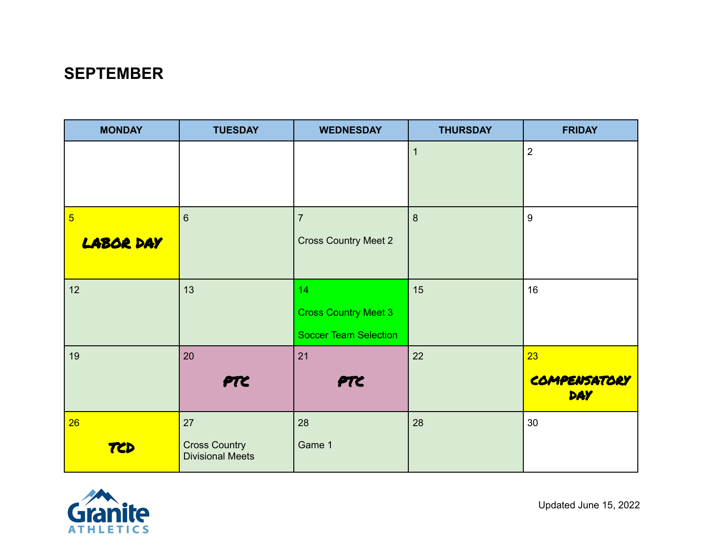## **SEPTEMBER**

| <b>MONDAY</b>    | <b>TUESDAY</b>                            | <b>WEDNESDAY</b>             | <b>THURSDAY</b> | <b>FRIDAY</b>              |
|------------------|-------------------------------------------|------------------------------|-----------------|----------------------------|
|                  |                                           |                              | 1               | $\overline{2}$             |
|                  |                                           |                              |                 |                            |
|                  |                                           |                              |                 |                            |
| $\overline{5}$   | 6                                         | $\overline{7}$               | 8               | 9                          |
| <b>LABOR DAY</b> |                                           | <b>Cross Country Meet 2</b>  |                 |                            |
|                  |                                           |                              |                 |                            |
| 12               | 13                                        | 14                           | 15              | 16                         |
|                  |                                           | <b>Cross Country Meet 3</b>  |                 |                            |
|                  |                                           | <b>Soccer Team Selection</b> |                 |                            |
| 19               | 20                                        | 21                           | 22              | 23                         |
|                  | PTC                                       | <b>PTC</b>                   |                 | COMPENSATORY<br><b>DAY</b> |
| 26               | 27                                        | 28                           | 28              | 30                         |
| TCD              | <b>Cross Country<br/>Divisional Meets</b> | Game 1                       |                 |                            |

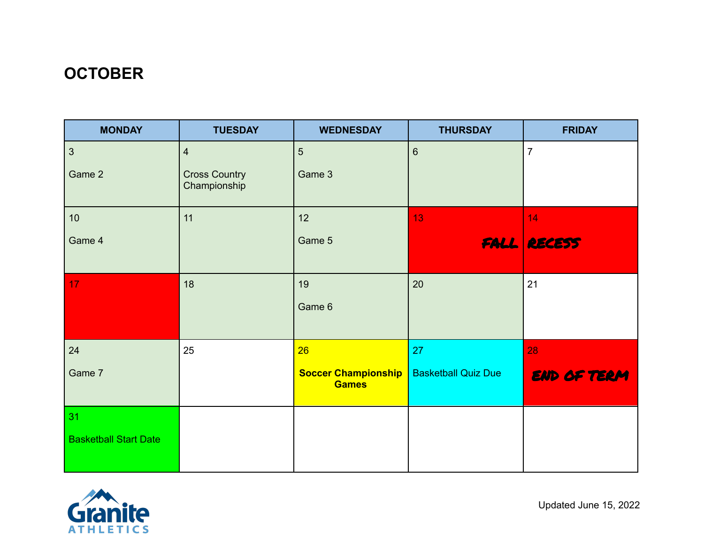# **OCTOBER**

| <b>MONDAY</b>                | <b>TUESDAY</b>                       | <b>WEDNESDAY</b>                           | <b>THURSDAY</b>            | <b>FRIDAY</b>      |
|------------------------------|--------------------------------------|--------------------------------------------|----------------------------|--------------------|
| $\mathfrak{Z}$               | $\overline{4}$                       | $5\phantom{.}$                             | $6\phantom{1}$             | $\overline{7}$     |
| Game 2                       | <b>Cross Country</b><br>Championship | Game 3                                     |                            |                    |
| 10 <sup>°</sup>              | 11                                   | 12                                         | 13 <sub>1</sub>            | 14                 |
| Game 4                       |                                      | Game 5                                     |                            | <b>FALL RECESS</b> |
| 17                           | 18                                   | 19                                         | 20                         | 21                 |
|                              |                                      | Game 6                                     |                            |                    |
| 24                           | 25                                   | 26                                         | 27                         | 28                 |
| Game 7                       |                                      | <b>Soccer Championship</b><br><b>Games</b> | <b>Basketball Quiz Due</b> | END OF TERM        |
| 31                           |                                      |                                            |                            |                    |
| <b>Basketball Start Date</b> |                                      |                                            |                            |                    |

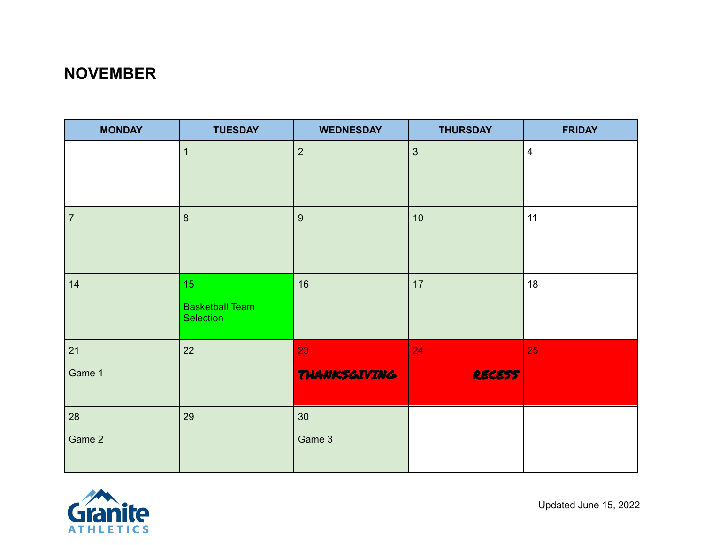## **NOVEMBER**

| <b>MONDAY</b>  | <b>TUESDAY</b>                             | <b>WEDNESDAY</b>    | <b>THURSDAY</b> | <b>FRIDAY</b>  |
|----------------|--------------------------------------------|---------------------|-----------------|----------------|
|                | $\mathbf{1}$                               | $\overline{2}$      | $\mathfrak{S}$  | $\overline{4}$ |
|                |                                            |                     |                 |                |
| $\overline{7}$ | $\boldsymbol{8}$                           | 9                   | 10              | 11             |
|                |                                            |                     |                 |                |
| 14             | 15 <sub>1</sub>                            | 16                  | 17              | 18             |
|                | <b>Basketball Team</b><br><b>Selection</b> |                     |                 |                |
| 21             | 22                                         | 23                  | 24              | 25             |
| Game 1         |                                            | <b>THANKSGIVING</b> | <b>RECESS</b>   |                |
| 28             | 29                                         | 30                  |                 |                |
| Game 2         |                                            | Game 3              |                 |                |

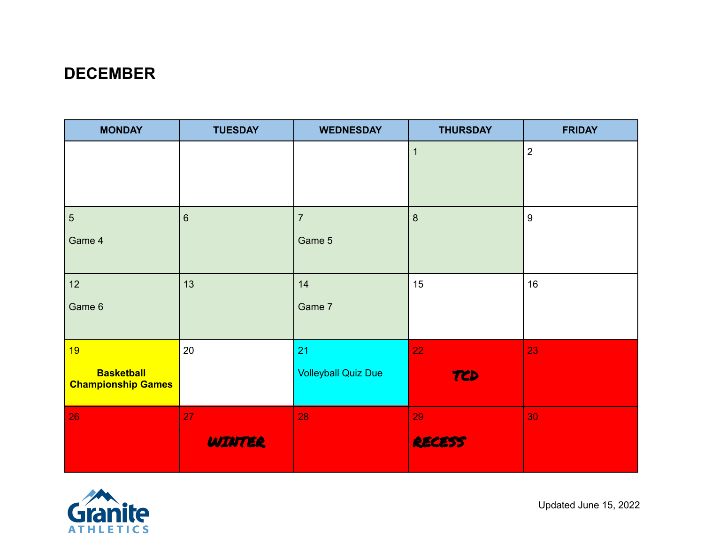## **DECEMBER**

| <b>MONDAY</b>             | <b>TUESDAY</b> | <b>WEDNESDAY</b>           | <b>THURSDAY</b>  | <b>FRIDAY</b>    |
|---------------------------|----------------|----------------------------|------------------|------------------|
|                           |                |                            | $\overline{1}$   | $\overline{2}$   |
|                           |                |                            |                  |                  |
|                           |                |                            |                  |                  |
| $\sqrt{5}$                | $6\,$          | $\overline{7}$             | $\boldsymbol{8}$ | $\boldsymbol{9}$ |
| Game 4                    |                | Game 5                     |                  |                  |
|                           |                |                            |                  |                  |
| 12                        | 13             | 14                         | 15               | 16               |
| Game 6                    |                | Game 7                     |                  |                  |
|                           |                |                            |                  |                  |
| 19                        | 20             | 21                         | 22               | 23               |
| <b>Basketball</b>         |                | <b>Volleyball Quiz Due</b> | TCD              |                  |
| <b>Championship Games</b> |                |                            |                  |                  |
| 26                        | 27             | 28                         | 29               | 30               |
|                           | <b>WINTER</b>  |                            | <b>RECESS</b>    |                  |
|                           |                |                            |                  |                  |

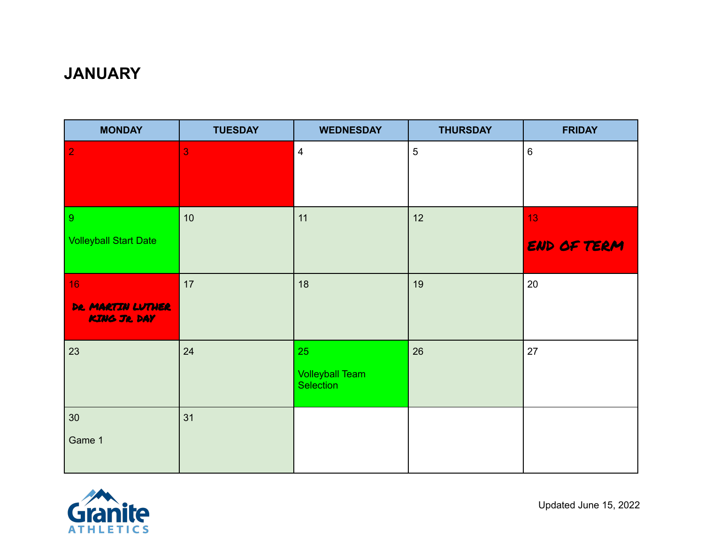## **JANUARY**

| <b>MONDAY</b>                    | <b>TUESDAY</b> | <b>WEDNESDAY</b>                           | <b>THURSDAY</b> | <b>FRIDAY</b> |
|----------------------------------|----------------|--------------------------------------------|-----------------|---------------|
| $\overline{2}$                   | 3              | $\overline{\mathbf{4}}$                    | $\overline{5}$  | 6             |
|                                  |                |                                            |                 |               |
| 9                                | 10             | 11                                         | 12              | 13            |
| <b>Volleyball Start Date</b>     |                |                                            |                 | END OF TERM   |
| 16                               | 17             | 18                                         | 19              | 20            |
| DR. MARTIN LUTHER<br>KING JR DAY |                |                                            |                 |               |
| 23                               | 24             | 25                                         | 26              | 27            |
|                                  |                | <b>Volleyball Team</b><br><b>Selection</b> |                 |               |
| 30 <sub>o</sub>                  | 31             |                                            |                 |               |
| Game 1                           |                |                                            |                 |               |

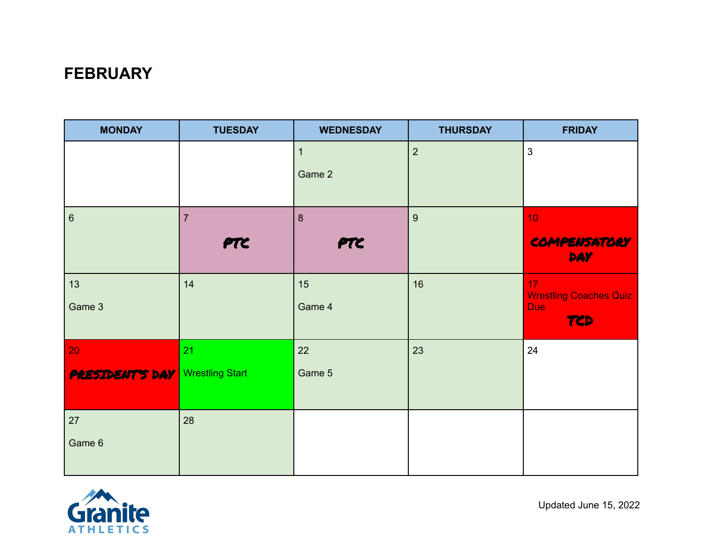## **FEBRUARY**

| <b>MONDAY</b>                          | <b>TUESDAY</b> | <b>WEDNESDAY</b>         | <b>THURSDAY</b> | <b>FRIDAY</b>                       |
|----------------------------------------|----------------|--------------------------|-----------------|-------------------------------------|
|                                        |                | $\overline{1}$<br>Game 2 | $\overline{2}$  | 3                                   |
|                                        |                |                          |                 |                                     |
| $\,6\,$                                | $\overline{7}$ | $\boldsymbol{8}$         | $\overline{9}$  | 10                                  |
|                                        | PTC            | PTC                      |                 | COMPENSATORY<br><b>DAY</b>          |
| 13                                     | 14             | 15                       | 16              | 17<br><b>Wrestling Coaches Quiz</b> |
| Game 3                                 |                | Game 4                   |                 | <b>Due</b><br>TCD                   |
| 20                                     | 21             | 22                       | 23              | 24                                  |
| <b>PRESIDENT'S DAY</b> Wrestling Start |                | Game 5                   |                 |                                     |
| 27                                     | 28             |                          |                 |                                     |
| Game 6                                 |                |                          |                 |                                     |

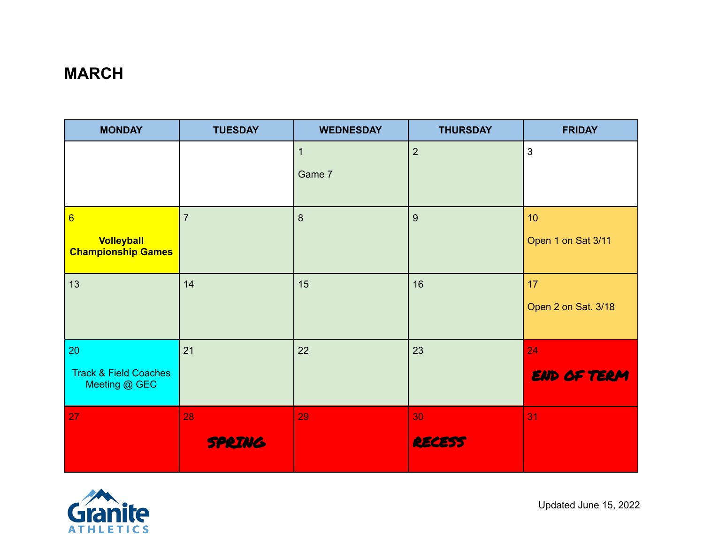# **MARCH**

| <b>MONDAY</b>                                     | <b>TUESDAY</b> | <b>WEDNESDAY</b> | <b>THURSDAY</b> | <b>FRIDAY</b>       |
|---------------------------------------------------|----------------|------------------|-----------------|---------------------|
|                                                   |                | $\mathbf{1}$     | $\overline{2}$  | 3                   |
|                                                   |                | Game 7           |                 |                     |
|                                                   |                |                  |                 |                     |
| $6\overline{6}$                                   | $\overline{7}$ | $\delta$         | 9               | 10                  |
| Volleyball<br><b>Championship Games</b>           |                |                  |                 | Open 1 on Sat 3/11  |
| 13                                                | 14             | 15               | 16              | 17                  |
|                                                   |                |                  |                 | Open 2 on Sat. 3/18 |
| 20                                                | 21             | 22               | 23              | 24                  |
| <b>Track &amp; Field Coaches</b><br>Meeting @ GEC |                |                  |                 | <b>END OF TERM</b>  |
| 27                                                | 28             | 29               | 30              | 31                  |
|                                                   | <b>SPRING</b>  |                  | <b>RECESS</b>   |                     |

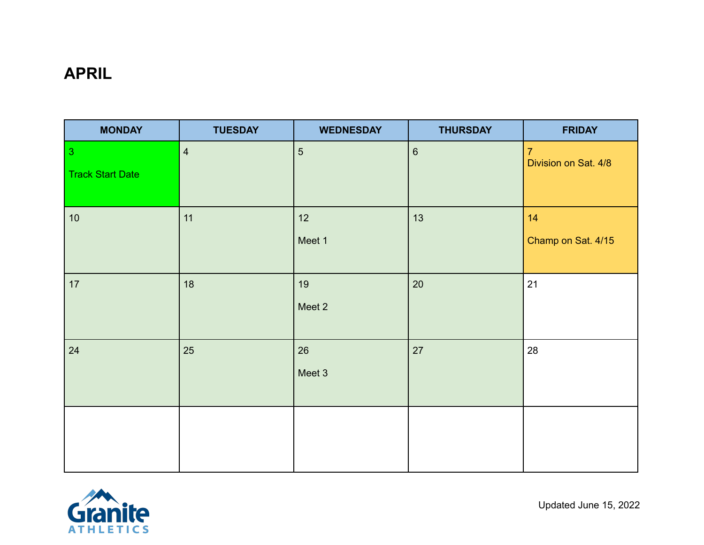## **APRIL**

| <b>MONDAY</b>                             | <b>TUESDAY</b> | <b>WEDNESDAY</b> | <b>THURSDAY</b> | <b>FRIDAY</b>                          |
|-------------------------------------------|----------------|------------------|-----------------|----------------------------------------|
| $\overline{3}$<br><b>Track Start Date</b> | $\overline{4}$ | $5\phantom{.}$   | $6\phantom{1}6$ | $\overline{7}$<br>Division on Sat. 4/8 |
| 10                                        | 11             | 12<br>Meet 1     | 13              | 14<br>Champ on Sat. 4/15               |
| 17                                        | 18             | 19<br>Meet 2     | 20              | 21                                     |
| 24                                        | 25             | 26<br>Meet 3     | 27              | 28                                     |
|                                           |                |                  |                 |                                        |

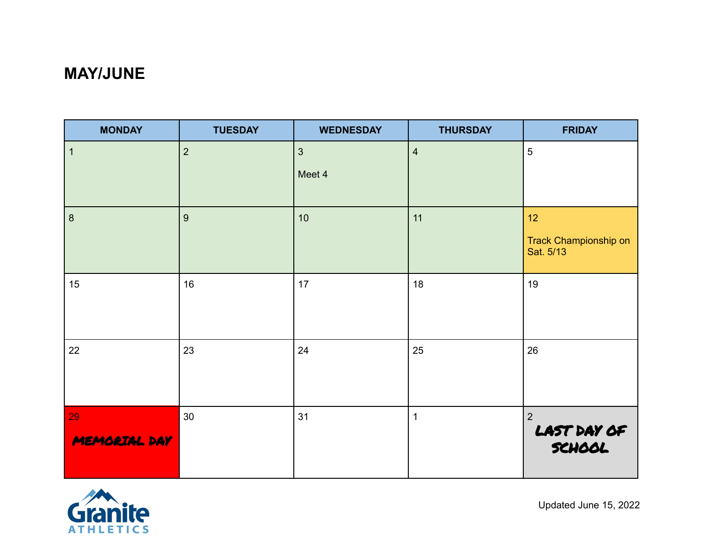## **MAY/JUNE**

| <b>MONDAY</b>      | <b>TUESDAY</b> | <b>WEDNESDAY</b>       | <b>THURSDAY</b> | <b>FRIDAY</b>                            |
|--------------------|----------------|------------------------|-----------------|------------------------------------------|
| $\mathbf{1}$       | $\overline{2}$ | $\mathbf{3}$<br>Meet 4 | $\overline{4}$  | $5\phantom{.0}$                          |
| $\boldsymbol{8}$   | $9\,$          | 10                     | 11              | 12<br>Track Championship on<br>Sat. 5/13 |
| 15                 | 16             | 17                     | 18              | 19                                       |
| 22                 | 23             | 24                     | 25              | 26                                       |
| 29<br>MEMORIAL DAY | 30             | 31                     | $\mathbf{1}$    | $\overline{2}$<br>LAST DAY OF            |